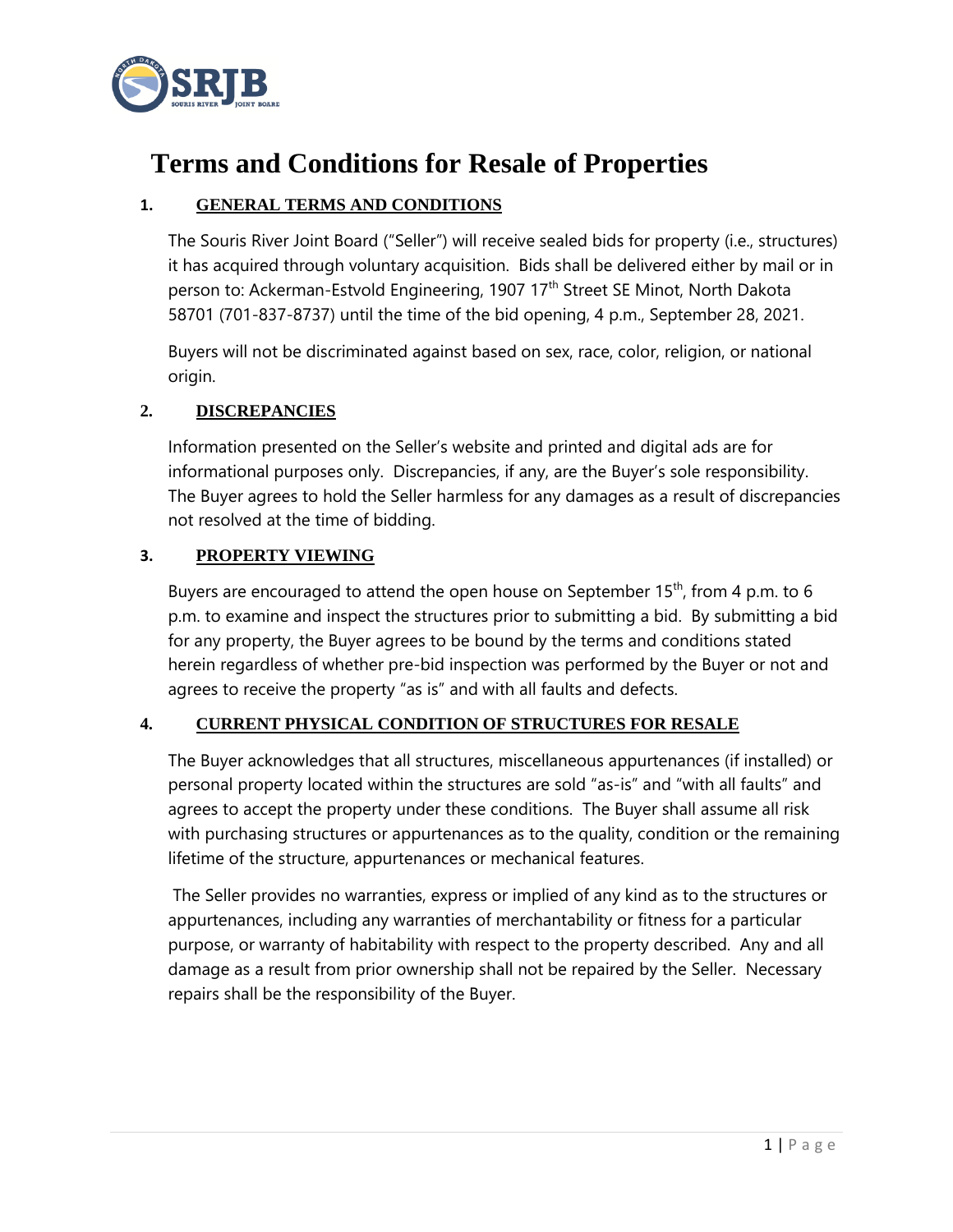

# **Terms and Conditions for Resale of Properties**

# **1. GENERAL TERMS AND CONDITIONS**

The Souris River Joint Board ("Seller") will receive sealed bids for property (i.e., structures) it has acquired through voluntary acquisition. Bids shall be delivered either by mail or in person to: Ackerman-Estvold Engineering, 1907 17<sup>th</sup> Street SE Minot, North Dakota 58701 (701-837-8737) until the time of the bid opening, 4 p.m., September 28, 2021.

Buyers will not be discriminated against based on sex, race, color, religion, or national origin.

# **2. DISCREPANCIES**

Information presented on the Seller's website and printed and digital ads are for informational purposes only. Discrepancies, if any, are the Buyer's sole responsibility. The Buyer agrees to hold the Seller harmless for any damages as a result of discrepancies not resolved at the time of bidding.

# **3. PROPERTY VIEWING**

Buyers are encouraged to attend the open house on September  $15<sup>th</sup>$ , from 4 p.m. to 6 p.m. to examine and inspect the structures prior to submitting a bid. By submitting a bid for any property, the Buyer agrees to be bound by the terms and conditions stated herein regardless of whether pre-bid inspection was performed by the Buyer or not and agrees to receive the property "as is" and with all faults and defects.

# **4. CURRENT PHYSICAL CONDITION OF STRUCTURES FOR RESALE**

The Buyer acknowledges that all structures, miscellaneous appurtenances (if installed) or personal property located within the structures are sold "as-is" and "with all faults" and agrees to accept the property under these conditions. The Buyer shall assume all risk with purchasing structures or appurtenances as to the quality, condition or the remaining lifetime of the structure, appurtenances or mechanical features.

The Seller provides no warranties, express or implied of any kind as to the structures or appurtenances, including any warranties of merchantability or fitness for a particular purpose, or warranty of habitability with respect to the property described. Any and all damage as a result from prior ownership shall not be repaired by the Seller. Necessary repairs shall be the responsibility of the Buyer.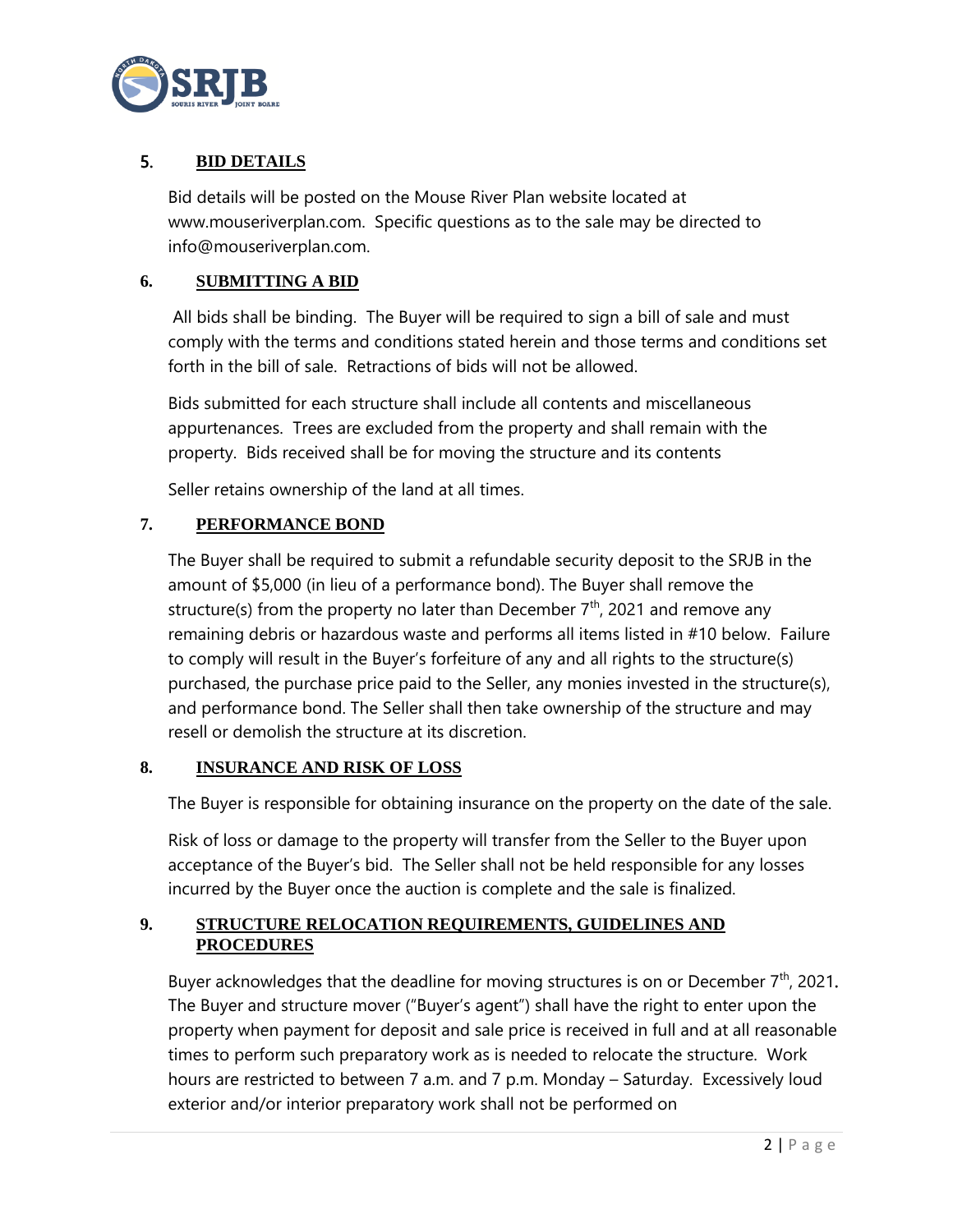

# 5. **BID DETAILS**

Bid details will be posted on the Mouse River Plan website located at www.mouseriverplan.com. Specific questions as to the sale may be directed to info@mouseriverplan.com.

## **6. SUBMITTING A BID**

All bids shall be binding. The Buyer will be required to sign a bill of sale and must comply with the terms and conditions stated herein and those terms and conditions set forth in the bill of sale. Retractions of bids will not be allowed.

Bids submitted for each structure shall include all contents and miscellaneous appurtenances. Trees are excluded from the property and shall remain with the property. Bids received shall be for moving the structure and its contents

Seller retains ownership of the land at all times.

## **7. PERFORMANCE BOND**

The Buyer shall be required to submit a refundable security deposit to the SRJB in the amount of \$5,000 (in lieu of a performance bond). The Buyer shall remove the structure(s) from the property no later than December  $7<sup>th</sup>$ , 2021 and remove any remaining debris or hazardous waste and performs all items listed in #10 below. Failure to comply will result in the Buyer's forfeiture of any and all rights to the structure(s) purchased, the purchase price paid to the Seller, any monies invested in the structure(s), and performance bond. The Seller shall then take ownership of the structure and may resell or demolish the structure at its discretion.

#### **8. INSURANCE AND RISK OF LOSS**

The Buyer is responsible for obtaining insurance on the property on the date of the sale.

Risk of loss or damage to the property will transfer from the Seller to the Buyer upon acceptance of the Buyer's bid. The Seller shall not be held responsible for any losses incurred by the Buyer once the auction is complete and the sale is finalized.

# **9. STRUCTURE RELOCATION REQUIREMENTS, GUIDELINES AND PROCEDURES**

Buyer acknowledges that the deadline for moving structures is on or December  $7<sup>th</sup>$ , 2021. The Buyer and structure mover ("Buyer's agent") shall have the right to enter upon the property when payment for deposit and sale price is received in full and at all reasonable times to perform such preparatory work as is needed to relocate the structure. Work hours are restricted to between 7 a.m. and 7 p.m. Monday – Saturday. Excessively loud exterior and/or interior preparatory work shall not be performed on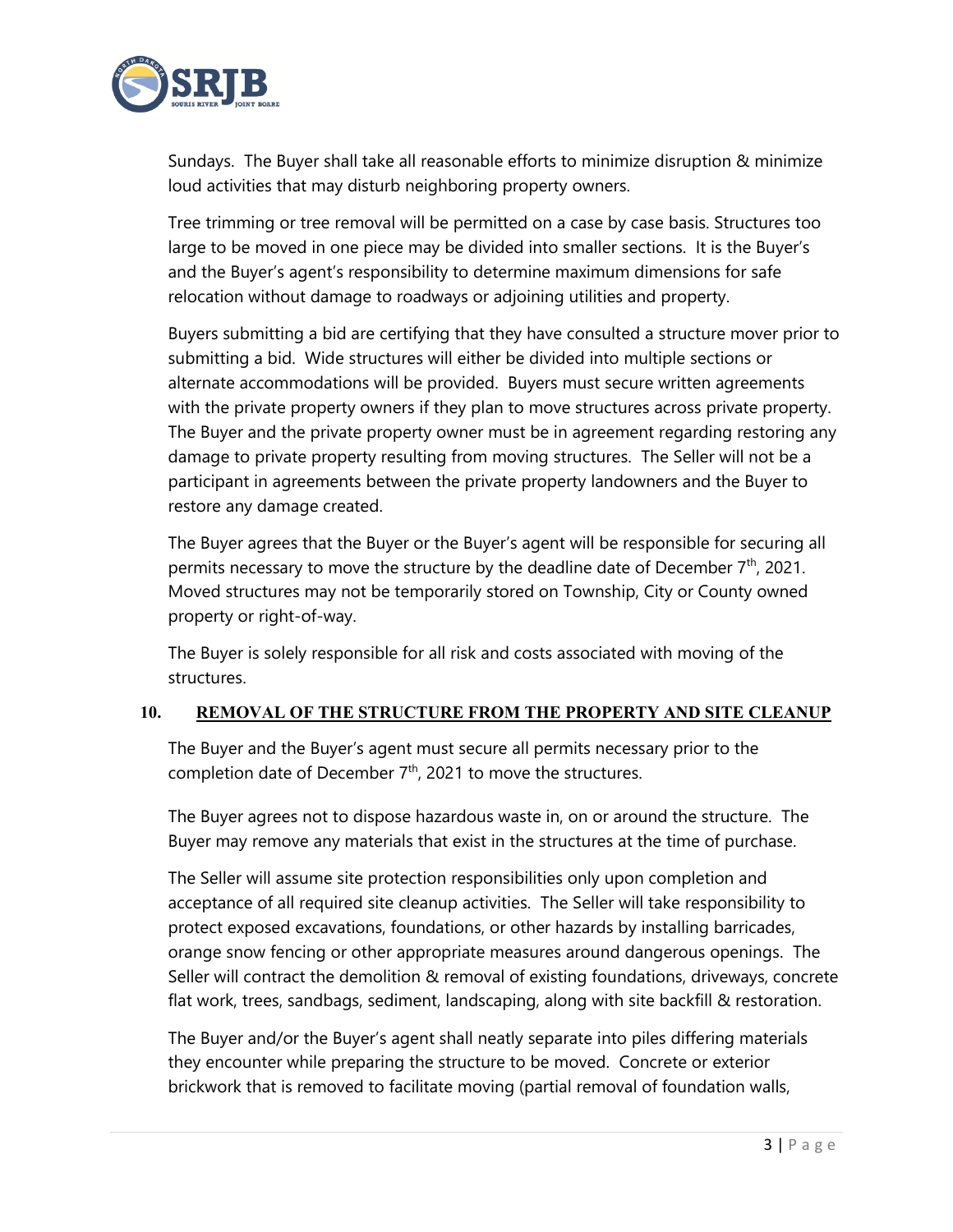

Sundays. The Buyer shall take all reasonable efforts to minimize disruption & minimize loud activities that may disturb neighboring property owners.

Tree trimming or tree removal will be permitted on a case by case basis. Structures too large to be moved in one piece may be divided into smaller sections. It is the Buyer's and the Buyer's agent's responsibility to determine maximum dimensions for safe relocation without damage to roadways or adjoining utilities and property.

Buyers submitting a bid are certifying that they have consulted a structure mover prior to submitting a bid. Wide structures will either be divided into multiple sections or alternate accommodations will be provided. Buyers must secure written agreements with the private property owners if they plan to move structures across private property. The Buyer and the private property owner must be in agreement regarding restoring any damage to private property resulting from moving structures. The Seller will not be a participant in agreements between the private property landowners and the Buyer to restore any damage created.

The Buyer agrees that the Buyer or the Buyer's agent will be responsible for securing all permits necessary to move the structure by the deadline date of December 7<sup>th</sup>, 2021. Moved structures may not be temporarily stored on Township, City or County owned property or right-of-way.

The Buyer is solely responsible for all risk and costs associated with moving of the structures.

#### **10. REMOVAL OF THE STRUCTURE FROM THE PROPERTY AND SITE CLEANUP**

The Buyer and the Buyer's agent must secure all permits necessary prior to the completion date of December  $7<sup>th</sup>$ , 2021 to move the structures.

The Buyer agrees not to dispose hazardous waste in, on or around the structure. The Buyer may remove any materials that exist in the structures at the time of purchase.

The Seller will assume site protection responsibilities only upon completion and acceptance of all required site cleanup activities. The Seller will take responsibility to protect exposed excavations, foundations, or other hazards by installing barricades, orange snow fencing or other appropriate measures around dangerous openings. The Seller will contract the demolition & removal of existing foundations, driveways, concrete flat work, trees, sandbags, sediment, landscaping, along with site backfill & restoration.

The Buyer and/or the Buyer's agent shall neatly separate into piles differing materials they encounter while preparing the structure to be moved. Concrete or exterior brickwork that is removed to facilitate moving (partial removal of foundation walls,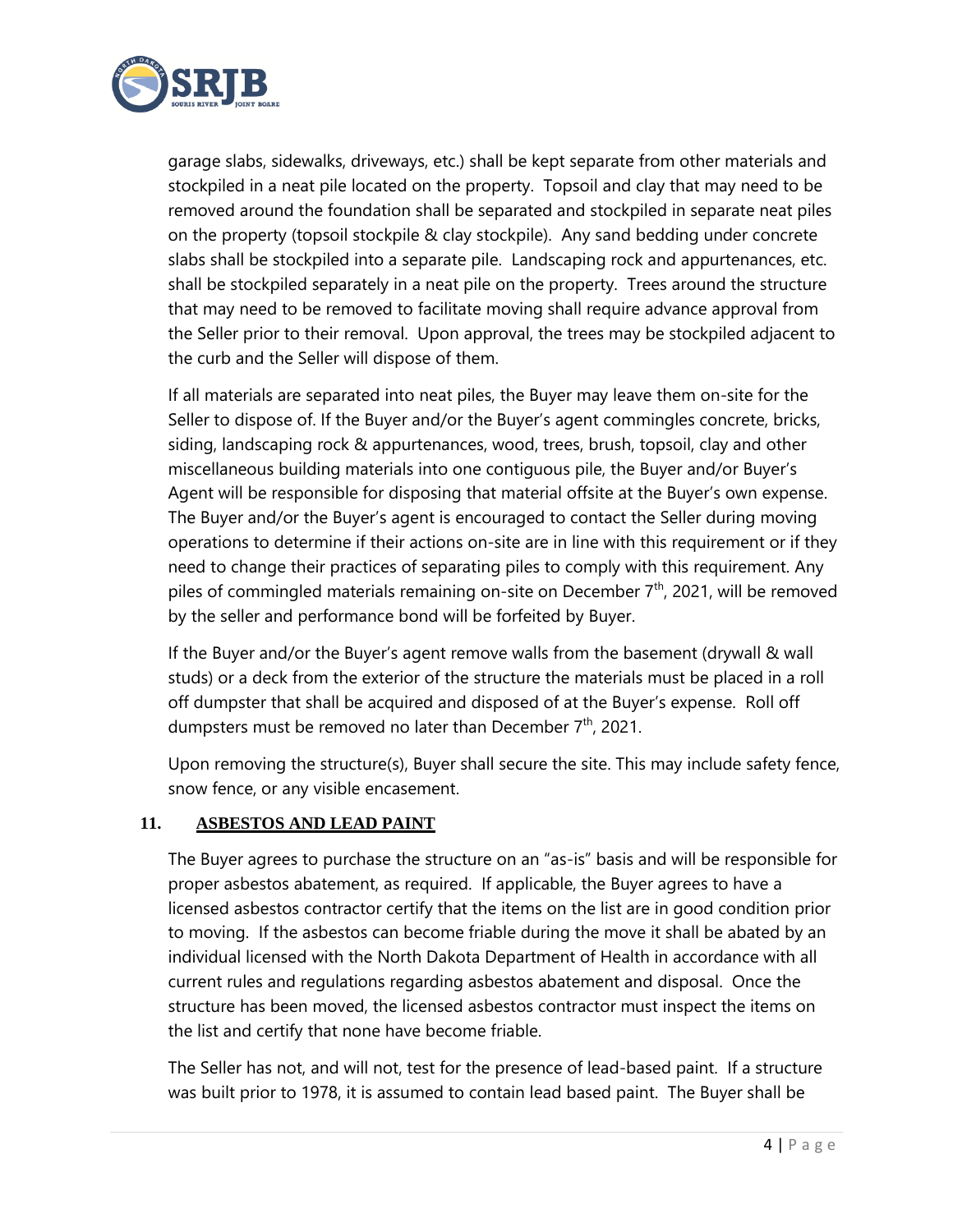

garage slabs, sidewalks, driveways, etc.) shall be kept separate from other materials and stockpiled in a neat pile located on the property. Topsoil and clay that may need to be removed around the foundation shall be separated and stockpiled in separate neat piles on the property (topsoil stockpile & clay stockpile). Any sand bedding under concrete slabs shall be stockpiled into a separate pile. Landscaping rock and appurtenances, etc. shall be stockpiled separately in a neat pile on the property. Trees around the structure that may need to be removed to facilitate moving shall require advance approval from the Seller prior to their removal. Upon approval, the trees may be stockpiled adjacent to the curb and the Seller will dispose of them.

If all materials are separated into neat piles, the Buyer may leave them on-site for the Seller to dispose of. If the Buyer and/or the Buyer's agent commingles concrete, bricks, siding, landscaping rock & appurtenances, wood, trees, brush, topsoil, clay and other miscellaneous building materials into one contiguous pile, the Buyer and/or Buyer's Agent will be responsible for disposing that material offsite at the Buyer's own expense. The Buyer and/or the Buyer's agent is encouraged to contact the Seller during moving operations to determine if their actions on-site are in line with this requirement or if they need to change their practices of separating piles to comply with this requirement. Any piles of commingled materials remaining on-site on December 7<sup>th</sup>, 2021, will be removed by the seller and performance bond will be forfeited by Buyer.

If the Buyer and/or the Buyer's agent remove walls from the basement (drywall & wall studs) or a deck from the exterior of the structure the materials must be placed in a roll off dumpster that shall be acquired and disposed of at the Buyer's expense. Roll off dumpsters must be removed no later than December 7<sup>th</sup>, 2021.

Upon removing the structure(s), Buyer shall secure the site. This may include safety fence, snow fence, or any visible encasement.

## **11. ASBESTOS AND LEAD PAINT**

The Buyer agrees to purchase the structure on an "as-is" basis and will be responsible for proper asbestos abatement, as required. If applicable, the Buyer agrees to have a licensed asbestos contractor certify that the items on the list are in good condition prior to moving. If the asbestos can become friable during the move it shall be abated by an individual licensed with the North Dakota Department of Health in accordance with all current rules and regulations regarding asbestos abatement and disposal. Once the structure has been moved, the licensed asbestos contractor must inspect the items on the list and certify that none have become friable.

The Seller has not, and will not, test for the presence of lead-based paint. If a structure was built prior to 1978, it is assumed to contain lead based paint. The Buyer shall be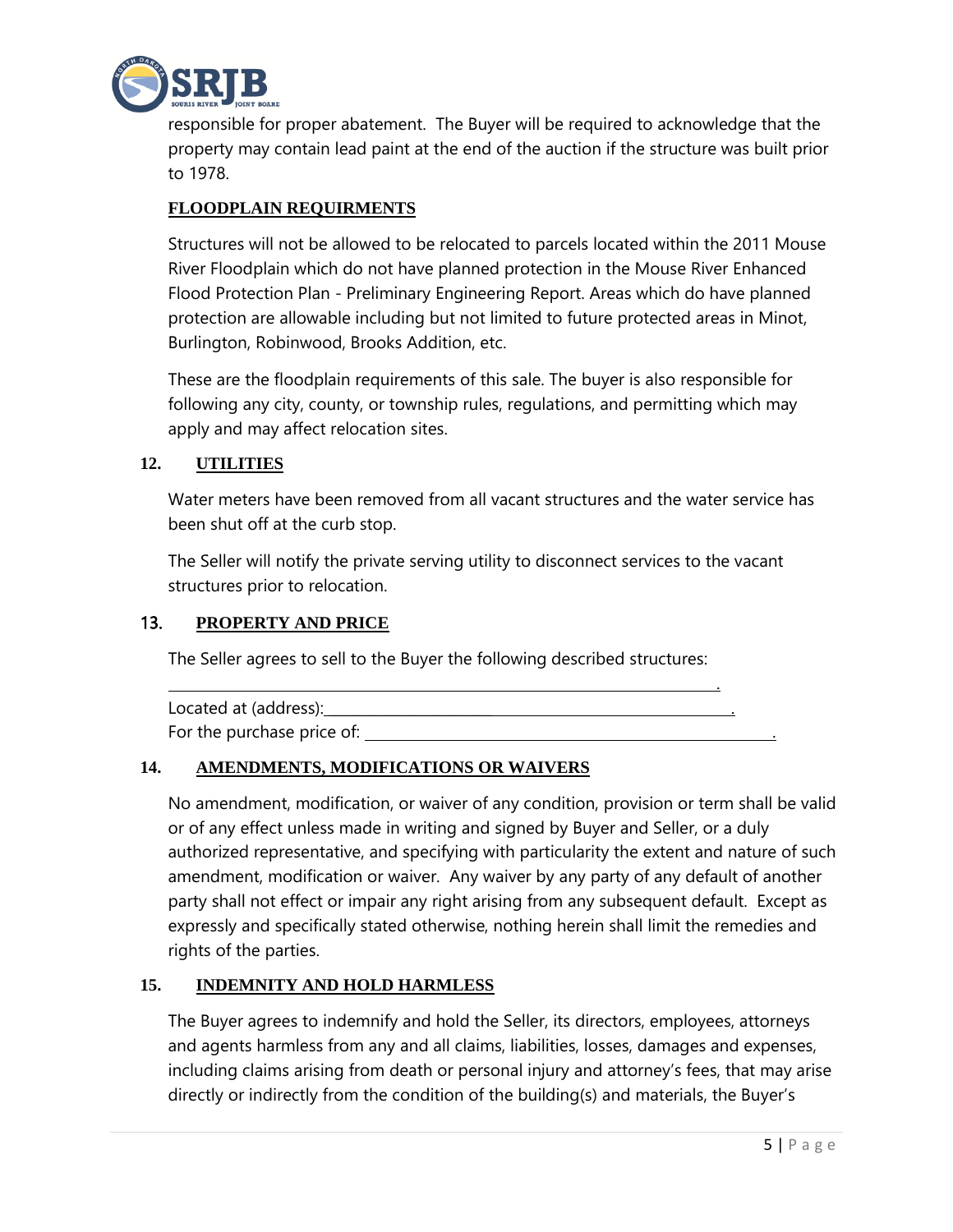

responsible for proper abatement. The Buyer will be required to acknowledge that the property may contain lead paint at the end of the auction if the structure was built prior to 1978.

# **FLOODPLAIN REQUIRMENTS**

Structures will not be allowed to be relocated to parcels located within the 2011 Mouse River Floodplain which do not have planned protection in the Mouse River Enhanced Flood Protection Plan - Preliminary Engineering Report. Areas which do have planned protection are allowable including but not limited to future protected areas in Minot, Burlington, Robinwood, Brooks Addition, etc.

These are the floodplain requirements of this sale. The buyer is also responsible for following any city, county, or township rules, regulations, and permitting which may apply and may affect relocation sites.

## **12. UTILITIES**

Water meters have been removed from all vacant structures and the water service has been shut off at the curb stop.

The Seller will notify the private serving utility to disconnect services to the vacant structures prior to relocation.

#### 13. **PROPERTY AND PRICE**

The Seller agrees to sell to the Buyer the following described structures: <u>. Andre Sterne and Sterne and Sterne and Sterne and Sterne and Sterne and Sterne and Sterne and Sterne and St</u>

| Located at (address):      |  |
|----------------------------|--|
| For the purchase price of: |  |

#### **14. AMENDMENTS, MODIFICATIONS OR WAIVERS**

No amendment, modification, or waiver of any condition, provision or term shall be valid or of any effect unless made in writing and signed by Buyer and Seller, or a duly authorized representative, and specifying with particularity the extent and nature of such amendment, modification or waiver. Any waiver by any party of any default of another party shall not effect or impair any right arising from any subsequent default. Except as expressly and specifically stated otherwise, nothing herein shall limit the remedies and rights of the parties.

#### **15. INDEMNITY AND HOLD HARMLESS**

The Buyer agrees to indemnify and hold the Seller, its directors, employees, attorneys and agents harmless from any and all claims, liabilities, losses, damages and expenses, including claims arising from death or personal injury and attorney's fees, that may arise directly or indirectly from the condition of the building(s) and materials, the Buyer's